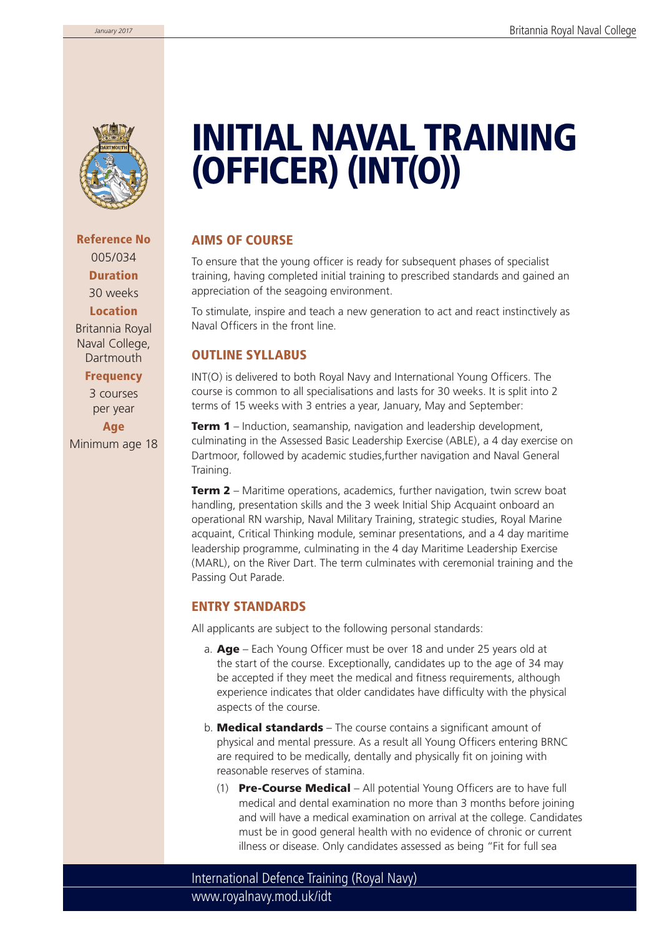

**Reference No** 005/034 **Duration** 30 weeks **Location**

Britannia Royal Naval College, Dartmouth

#### **Frequency**

3 courses per year

**Age**

Minimum age 18

# **INITIAL NAVAL TRAINING (OFFICER) (INT(O))**

## **AIMS OF COURSE**

To ensure that the young officer is ready for subsequent phases of specialist training, having completed initial training to prescribed standards and gained an appreciation of the seagoing environment.

To stimulate, inspire and teach a new generation to act and react instinctively as Naval Officers in the front line.

### **OUTLINE SYLLABUS**

INT(O) is delivered to both Royal Navy and International Young Officers. The course is common to all specialisations and lasts for 30 weeks. It is split into 2 terms of 15 weeks with 3 entries a year, January, May and September:

**Term 1** – Induction, seamanship, navigation and leadership development, culminating in the Assessed Basic Leadership Exercise (ABLE), a 4 day exercise on Dartmoor, followed by academic studies,further navigation and Naval General Training.

**Term 2** – Maritime operations, academics, further navigation, twin screw boat handling, presentation skills and the 3 week Initial Ship Acquaint onboard an operational RN warship, Naval Military Training, strategic studies, Royal Marine acquaint, Critical Thinking module, seminar presentations, and a 4 day maritime leadership programme, culminating in the 4 day Maritime Leadership Exercise (MARL), on the River Dart. The term culminates with ceremonial training and the Passing Out Parade.

## **ENTRY STANDARDS**

All applicants are subject to the following personal standards:

- a. **Age** Each Young Officer must be over 18 and under 25 years old at the start of the course. Exceptionally, candidates up to the age of 34 may be accepted if they meet the medical and fitness requirements, although experience indicates that older candidates have difficulty with the physical aspects of the course.
- b. **Medical standards** The course contains a significant amount of physical and mental pressure. As a result all Young Officers entering BRNC are required to be medically, dentally and physically fit on joining with reasonable reserves of stamina.
	- (1) **Pre-Course Medical** All potential Young Officers are to have full medical and dental examination no more than 3 months before joining and will have a medical examination on arrival at the college. Candidates must be in good general health with no evidence of chronic or current illness or disease. Only candidates assessed as being "Fit for full sea

www.royalnavy.mod.uk/idt International Defence Training (Royal Navy)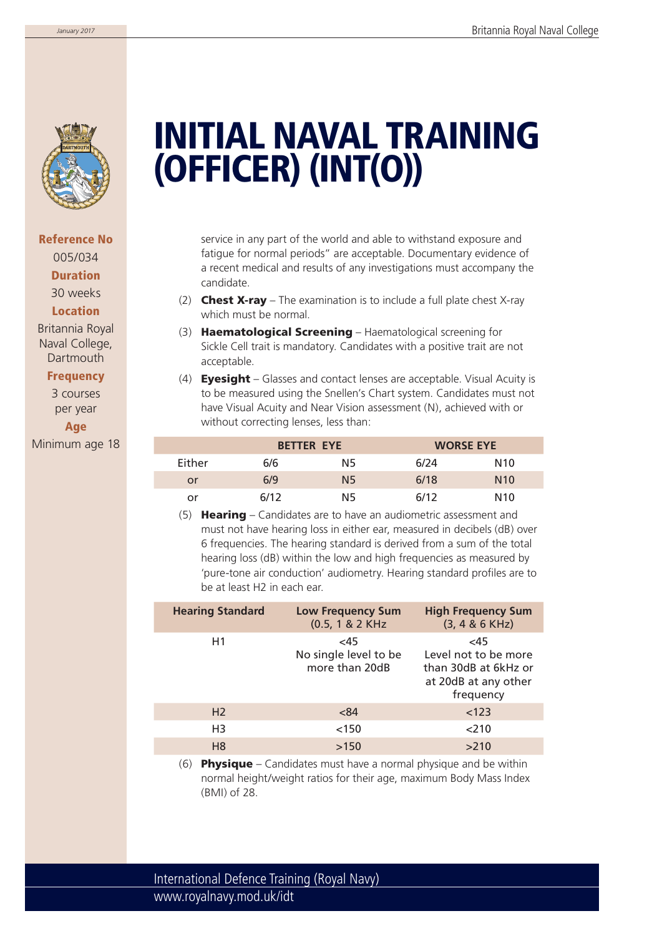

**Reference No** 005/034 **Duration**

30 weeks

## **Location**

Britannia Royal Naval College, Dartmouth

#### **Frequency**

3 courses per year

**Age** Minimum age 18

# **INITIAL NAVAL TRAINING (OFFICER) (INT(O))**

service in any part of the world and able to withstand exposure and fatigue for normal periods" are acceptable. Documentary evidence of a recent medical and results of any investigations must accompany the candidate.

- (2) **Chest X-ray** The examination is to include a full plate chest X-ray which must be normal.
- (3) **Haematological Screening** Haematological screening for Sickle Cell trait is mandatory. Candidates with a positive trait are not acceptable.
- (4) **Eyesight** Glasses and contact lenses are acceptable. Visual Acuity is to be measured using the Snellen's Chart system. Candidates must not have Visual Acuity and Near Vision assessment (N), achieved with or without correcting lenses, less than:

|        | <b>BETTER EYE</b> |                | <b>WORSE EYE</b> |                 |
|--------|-------------------|----------------|------------------|-----------------|
| Either | 6/6               | N5             | 6/24             | N <sub>10</sub> |
| or     | 6/9               | N <sub>5</sub> | 6/18             | N <sub>10</sub> |
| or     | 6/12              | N5             | 6/12             | N <sub>10</sub> |

(5) **Hearing** – Candidates are to have an audiometric assessment and must not have hearing loss in either ear, measured in decibels (dB) over 6 frequencies. The hearing standard is derived from a sum of the total hearing loss (dB) within the low and high frequencies as measured by 'pure-tone air conduction' audiometry. Hearing standard profiles are to be at least H2 in each ear.

| <b>Hearing Standard</b> | <b>Low Frequency Sum</b><br>$(0.5, 1 & 2$ KHz  | <b>High Frequency Sum</b><br>$(3, 4 & 6$ KHz)                                                |
|-------------------------|------------------------------------------------|----------------------------------------------------------------------------------------------|
| H1                      | <45<br>No single level to be<br>more than 20dB | $~<$ 45<br>Level not to be more<br>than 30dB at 6kHz or<br>at 20dB at any other<br>frequency |
| H <sub>2</sub>          | < 84                                           | < 123                                                                                        |
| H <sub>3</sub>          | < 150                                          | 210                                                                                          |
| H <sub>8</sub>          | >150                                           | >210                                                                                         |

(6) **Physique** – Candidates must have a normal physique and be within normal height/weight ratios for their age, maximum Body Mass Index (BMI) of 28.